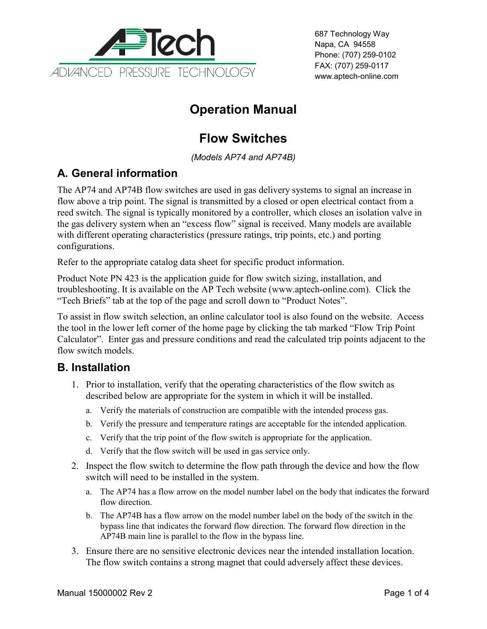

687 Technology Way Napa, CA 94558 Phone: (707) 259-0102 FAX: (707) 259-0117 www.aptech-online.com

# **Operation Manual**

# **Flow Switches**

*(Models AP74 and AP74B)*

## **A. General information**

The AP74 and AP74B flow switches are used in gas delivery systems to signal an increase in flow above a trip point. The signal is transmitted by a closed or open electrical contact from a reed switch. The signal is typically monitored by a controller, which closes an isolation valve in the gas delivery system when an "excess flow" signal is received. Many models are available with different operating characteristics (pressure ratings, trip points, etc.) and porting configurations.

Refer to the appropriate catalog data sheet for specific product information.

Product Note PN 423 is the application guide for flow switch sizing, installation, and troubleshooting. It is available on the AP Tech website (www.aptech-online.com). Click the "Tech Briefs" tab at the top of the page and scroll down to "Product Notes".

To assist in flow switch selection, an online calculator tool is also found on the website. Access the tool in the lower left corner of the home page by clicking the tab marked "Flow Trip Point Calculator". Enter gas and pressure conditions and read the calculated trip points adjacent to the flow switch models.

#### **B. Installation**

- 1. Prior to installation, verify that the operating characteristics of the flow switch as described below are appropriate for the system in which it will be installed.
	- a. Verify the materials of construction are compatible with the intended process gas.
	- b. Verify the pressure and temperature ratings are acceptable for the intended application.
	- c. Verify that the trip point of the flow switch is appropriate for the application.
	- d. Verify that the flow switch will be used in gas service only.
- 2. Inspect the flow switch to determine the flow path through the device and how the flow switch will need to be installed in the system.
	- a. The AP74 has a flow arrow on the model number label on the body that indicates the forward flow direction.
	- b. The AP74B has a flow arrow on the model number label on the body of the switch in the bypass line that indicates the forward flow direction. The forward flow direction in the AP74B main line is parallel to the flow in the bypass line.
- 3. Ensure there are no sensitive electronic devices near the intended installation location. The flow switch contains a strong magnet that could adversely affect these devices.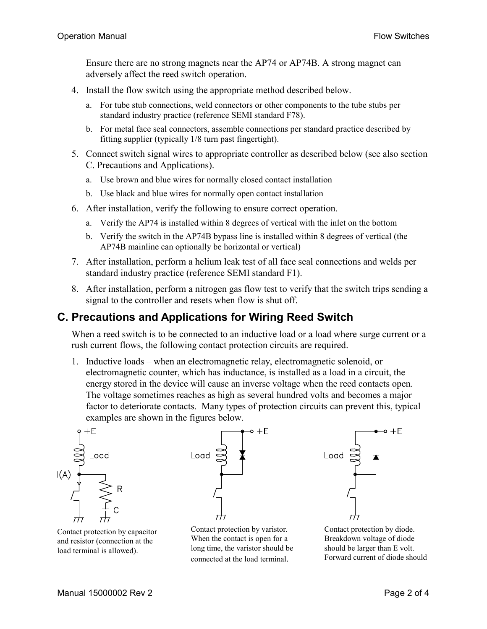Ensure there are no strong magnets near the AP74 or AP74B. A strong magnet can adversely affect the reed switch operation.

- 4. Install the flow switch using the appropriate method described below.
	- a. For tube stub connections, weld connectors or other components to the tube stubs per standard industry practice (reference SEMI standard F78).
	- b. For metal face seal connectors, assemble connections per standard practice described by fitting supplier (typically 1/8 turn past fingertight).
- 5. Connect switch signal wires to appropriate controller as described below (see also section C. Precautions and Applications).
	- a. Use brown and blue wires for normally closed contact installation
	- b. Use black and blue wires for normally open contact installation
- 6. After installation, verify the following to ensure correct operation.
	- a. Verify the AP74 is installed within 8 degrees of vertical with the inlet on the bottom
	- b. Verify the switch in the AP74B bypass line is installed within 8 degrees of vertical (the AP74B mainline can optionally be horizontal or vertical)
- 7. After installation, perform a helium leak test of all face seal connections and welds per standard industry practice (reference SEMI standard F1).
- 8. After installation, perform a nitrogen gas flow test to verify that the switch trips sending a signal to the controller and resets when flow is shut off.

### **C. Precautions and Applications for Wiring Reed Switch**

When a reed switch is to be connected to an inductive load or a load where surge current or a rush current flows, the following contact protection circuits are required.

1. Inductive loads – when an electromagnetic relay, electromagnetic solenoid, or electromagnetic counter, which has inductance, is installed as a load in a circuit, the energy stored in the device will cause an inverse voltage when the reed contacts open. The voltage sometimes reaches as high as several hundred volts and becomes a major factor to deteriorate contacts. Many types of protection circuits can prevent this, typical examples are shown in the figures below.

 $+E$ 



Contact protection by capacitor and resistor (connection at the load terminal is allowed).

Load  $=$ 

Contact protection by varistor. When the contact is open for a long time, the varistor should be connected at the load terminal.



Contact protection by diode. Breakdown voltage of diode should be larger than E volt. Forward current of diode should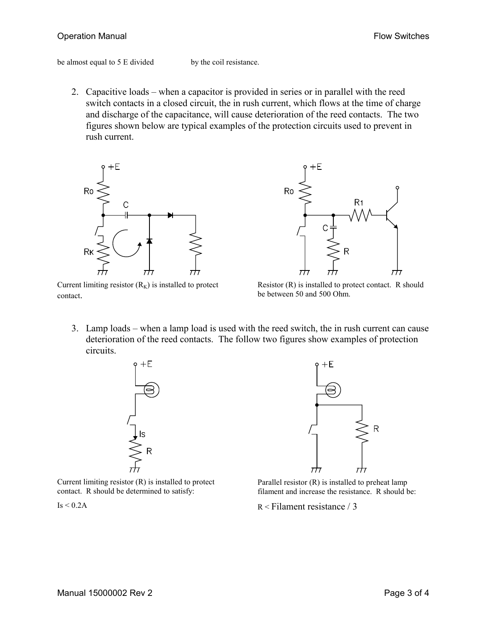#### Operation Manual **Flow Switches** Controller Controller Controller Controller Controller Controller Controller Controller Controller Controller Controller Controller Controller Controller Controller Controller Controller Co

be almost equal to 5 E divided by the coil resistance.

2. Capacitive loads – when a capacitor is provided in series or in parallel with the reed switch contacts in a closed circuit, the in rush current, which flows at the time of charge and discharge of the capacitance, will cause deterioration of the reed contacts. The two figures shown below are typical examples of the protection circuits used to prevent in rush current.



तीन Current limiting resistor  $(R_K)$  is installed to protect contact.



Resistor (R) is installed to protect contact. R should be between 50 and 500 Ohm.

3. Lamp loads – when a lamp load is used with the reed switch, the in rush current can cause deterioration of the reed contacts. The follow two figures show examples of protection circuits.



Current limiting resistor (R) is installed to protect contact. R should be determined to satisfy:



Parallel resistor (R) is installed to preheat lamp filament and increase the resistance. R should be:

R < Filament resistance / 3

 $Is < 0.2A$